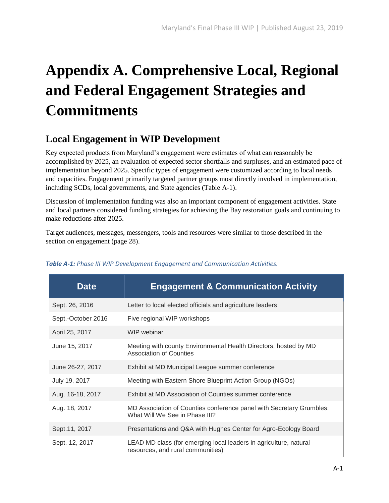## **Appendix A. Comprehensive Local, Regional and Federal Engagement Strategies and Commitments**

## **Local Engagement in WIP Development**

Key expected products from Maryland's engagement were estimates of what can reasonably be accomplished by 2025, an evaluation of expected sector shortfalls and surpluses, and an estimated pace of implementation beyond 2025. Specific types of engagement were customized according to local needs and capacities. Engagement primarily targeted partner groups most directly involved in implementation, including SCDs, local governments, and State agencies (Table A-1).

Discussion of implementation funding was also an important component of engagement activities. State and local partners considered funding strategies for achieving the Bay restoration goals and continuing to make reductions after 2025.

Target audiences, messages, messengers, tools and resources were similar to those described in the section on engagement (page 28).

| <b>Date</b>        | <b>Engagement &amp; Communication Activity</b>                                                         |
|--------------------|--------------------------------------------------------------------------------------------------------|
| Sept. 26, 2016     | Letter to local elected officials and agriculture leaders                                              |
| Sept.-October 2016 | Five regional WIP workshops                                                                            |
| April 25, 2017     | WIP webinar                                                                                            |
| June 15, 2017      | Meeting with county Environmental Health Directors, hosted by MD<br><b>Association of Counties</b>     |
| June 26-27, 2017   | Exhibit at MD Municipal League summer conference                                                       |
| July 19, 2017      | Meeting with Eastern Shore Blueprint Action Group (NGOs)                                               |
| Aug. 16-18, 2017   | Exhibit at MD Association of Counties summer conference                                                |
| Aug. 18, 2017      | MD Association of Counties conference panel with Secretary Grumbles:<br>What Will We See in Phase III? |
| Sept. 11, 2017     | Presentations and Q&A with Hughes Center for Agro-Ecology Board                                        |
| Sept. 12, 2017     | LEAD MD class (for emerging local leaders in agriculture, natural<br>resources, and rural communities) |

## *Table A-1: Phase III WIP Development Engagement and Communication Activities.*